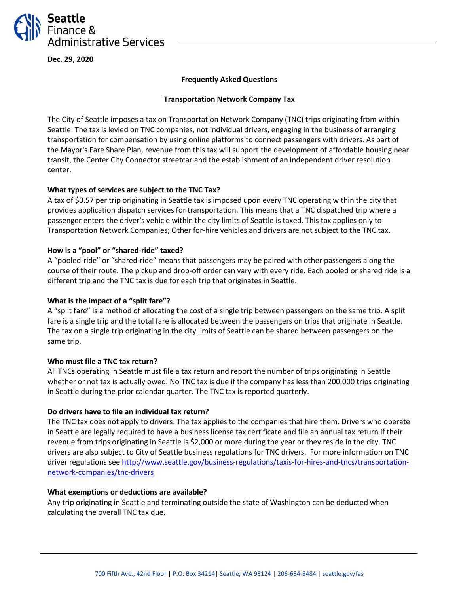

**Dec. 29, 2020**

## **Frequently Asked Questions**

## **Transportation Network Company Tax**

The City of Seattle imposes a tax on Transportation Network Company (TNC) trips originating from within Seattle. The tax is levied on TNC companies, not individual drivers, engaging in the business of arranging transportation for compensation by using online platforms to connect passengers with drivers. As part of the Mayor's Fare Share Plan, revenue from this tax will support the development of affordable housing near transit, the Center City Connector streetcar and the establishment of an independent driver resolution center.

# **What types of services are subject to the TNC Tax?**

A tax of \$0.57 per trip originating in Seattle tax is imposed upon every TNC operating within the city that provides application dispatch services for transportation. This means that a TNC dispatched trip where a passenger enters the driver's vehicle within the city limits of Seattle is taxed. This tax applies only to Transportation Network Companies; Other for-hire vehicles and drivers are not subject to the TNC tax.

#### **How is a "pool" or "shared-ride" taxed?**

A "pooled-ride" or "shared-ride" means that passengers may be paired with other passengers along the course of their route. The pickup and drop-off order can vary with every ride. Each pooled or shared ride is a different trip and the TNC tax is due for each trip that originates in Seattle.

## **What is the impact of a "split fare"?**

A "split fare" is a method of allocating the cost of a single trip between passengers on the same trip. A split fare is a single trip and the total fare is allocated between the passengers on trips that originate in Seattle. The tax on a single trip originating in the city limits of Seattle can be shared between passengers on the same trip.

#### **Who must file a TNC tax return?**

All TNCs operating in Seattle must file a tax return and report the number of trips originating in Seattle whether or not tax is actually owed. No TNC tax is due if the company has less than 200,000 trips originating in Seattle during the prior calendar quarter. The TNC tax is reported quarterly.

#### **Do drivers have to file an individual tax return?**

The TNC tax does not apply to drivers. The tax applies to the companies that hire them. Drivers who operate in Seattle are legally required to have a business license tax certificate and file an annual tax return if their revenue from trips originating in Seattle is \$2,000 or more during the year or they reside in the city. TNC drivers are also subject to City of Seattle business regulations for TNC drivers. For more information on TNC driver regulations se[e http://www.seattle.gov/business-regulations/taxis-for-hires-and-tncs/transportation](http://www.seattle.gov/business-regulations/taxis-for-hires-and-tncs/transportation-network-companies/tnc-drivers)[network-companies/tnc-drivers](http://www.seattle.gov/business-regulations/taxis-for-hires-and-tncs/transportation-network-companies/tnc-drivers)

#### **What exemptions or deductions are available?**

Any trip originating in Seattle and terminating outside the state of Washington can be deducted when calculating the overall TNC tax due.